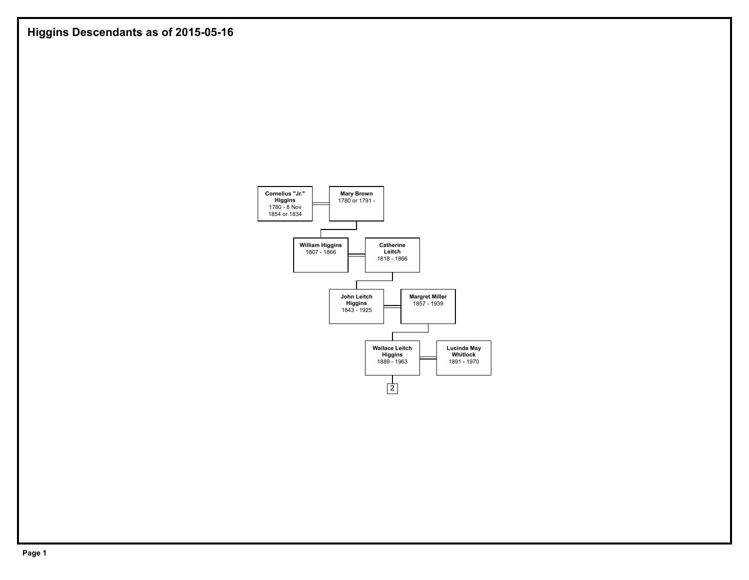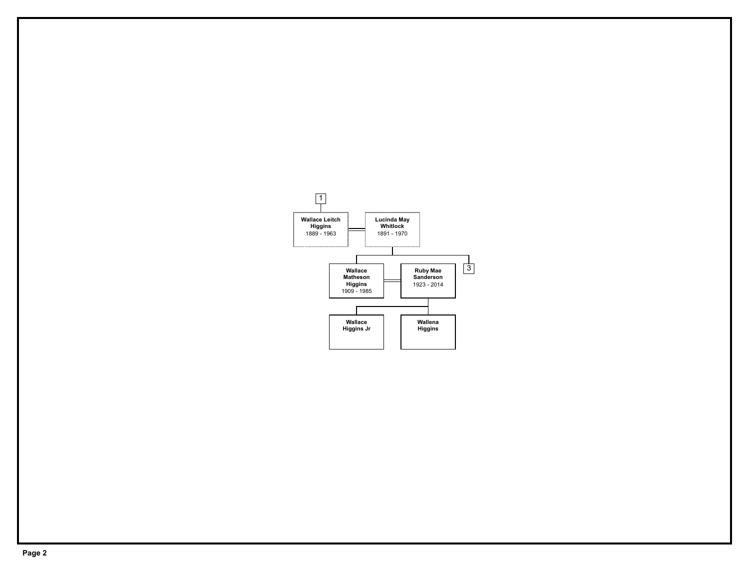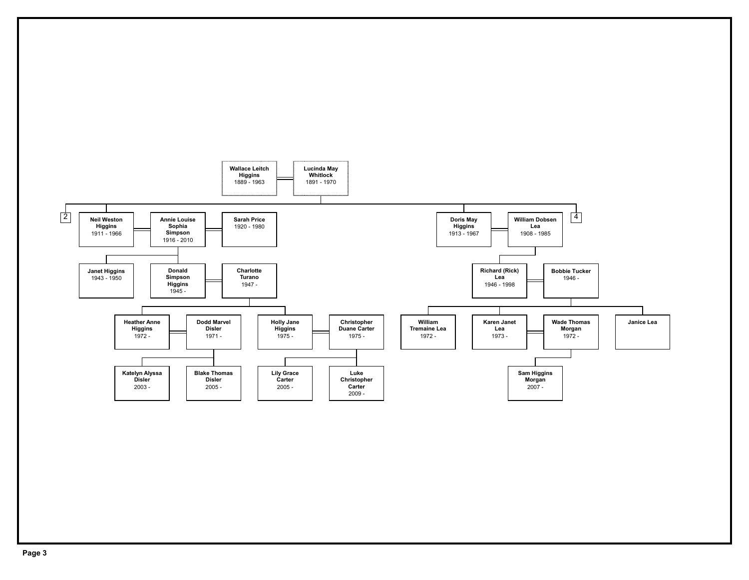